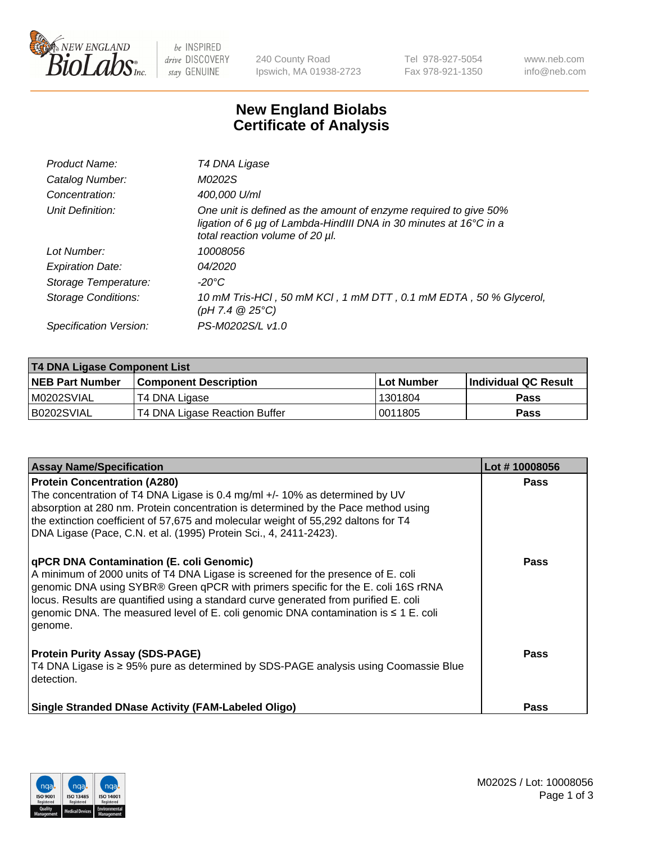

 $be$  INSPIRED drive DISCOVERY stay GENUINE

240 County Road Ipswich, MA 01938-2723 Tel 978-927-5054 Fax 978-921-1350 www.neb.com info@neb.com

## **New England Biolabs Certificate of Analysis**

| Product Name:           | T4 DNA Ligase                                                                                                                                                            |
|-------------------------|--------------------------------------------------------------------------------------------------------------------------------------------------------------------------|
| Catalog Number:         | M0202S                                                                                                                                                                   |
| Concentration:          | 400,000 U/ml                                                                                                                                                             |
| Unit Definition:        | One unit is defined as the amount of enzyme required to give 50%<br>ligation of 6 µg of Lambda-HindIII DNA in 30 minutes at 16°C in a<br>total reaction volume of 20 µl. |
| Lot Number:             | 10008056                                                                                                                                                                 |
| <b>Expiration Date:</b> | 04/2020                                                                                                                                                                  |
| Storage Temperature:    | $-20^{\circ}$ C                                                                                                                                                          |
| Storage Conditions:     | 10 mM Tris-HCl, 50 mM KCl, 1 mM DTT, 0.1 mM EDTA, 50 % Glycerol,<br>(pH 7.4 $@25°C$ )                                                                                    |
| Specification Version:  | PS-M0202S/L v1.0                                                                                                                                                         |

| <b>T4 DNA Ligase Component List</b> |                               |                   |                      |  |
|-------------------------------------|-------------------------------|-------------------|----------------------|--|
| <b>NEB Part Number</b>              | <b>Component Description</b>  | <b>Lot Number</b> | Individual QC Result |  |
| M0202SVIAL                          | T4 DNA Ligase                 | 1301804           | <b>Pass</b>          |  |
| B0202SVIAL                          | T4 DNA Ligase Reaction Buffer | 10011805          | <b>Pass</b>          |  |

| <b>Assay Name/Specification</b>                                                                                                                                                                                                                                                                                                                                                                                    | Lot #10008056 |
|--------------------------------------------------------------------------------------------------------------------------------------------------------------------------------------------------------------------------------------------------------------------------------------------------------------------------------------------------------------------------------------------------------------------|---------------|
| <b>Protein Concentration (A280)</b><br>The concentration of T4 DNA Ligase is 0.4 mg/ml +/- 10% as determined by UV<br>absorption at 280 nm. Protein concentration is determined by the Pace method using<br>the extinction coefficient of 57,675 and molecular weight of 55,292 daltons for T4<br>DNA Ligase (Pace, C.N. et al. (1995) Protein Sci., 4, 2411-2423).                                                | <b>Pass</b>   |
| <b>qPCR DNA Contamination (E. coli Genomic)</b><br>A minimum of 2000 units of T4 DNA Ligase is screened for the presence of E. coli<br>genomic DNA using SYBR® Green qPCR with primers specific for the E. coli 16S rRNA<br>locus. Results are quantified using a standard curve generated from purified E. coli<br>genomic DNA. The measured level of E. coli genomic DNA contamination is ≤ 1 E. coli<br>genome. | <b>Pass</b>   |
| <b>Protein Purity Assay (SDS-PAGE)</b><br>T4 DNA Ligase is ≥ 95% pure as determined by SDS-PAGE analysis using Coomassie Blue<br>detection.                                                                                                                                                                                                                                                                        | Pass          |
| <b>Single Stranded DNase Activity (FAM-Labeled Oligo)</b>                                                                                                                                                                                                                                                                                                                                                          | <b>Pass</b>   |

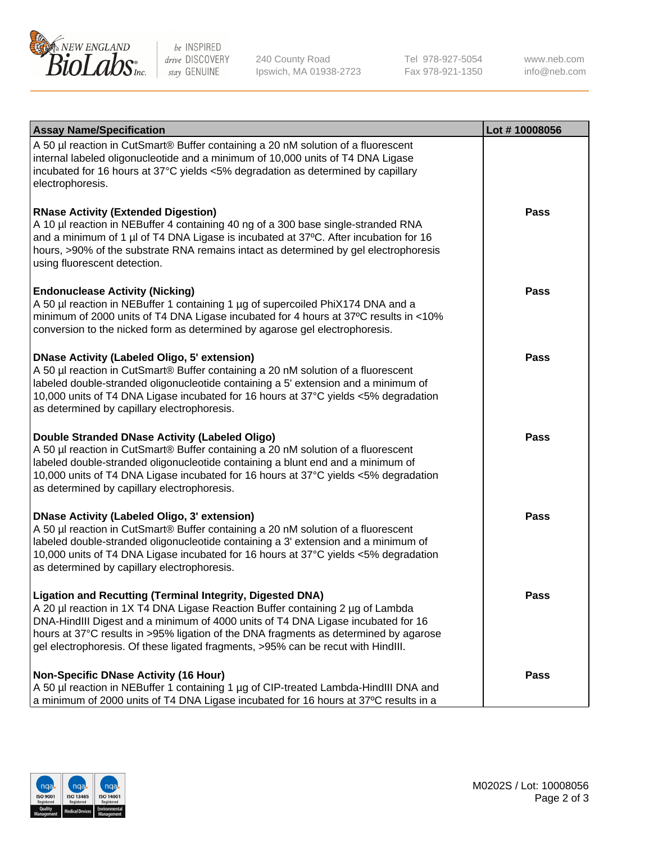

be INSPIRED drive DISCOVERY stay GENUINE

240 County Road Ipswich, MA 01938-2723 Tel 978-927-5054 Fax 978-921-1350 www.neb.com info@neb.com

| <b>Assay Name/Specification</b>                                                                                                                                                                                                                                                                                                                                                                                    | Lot #10008056 |
|--------------------------------------------------------------------------------------------------------------------------------------------------------------------------------------------------------------------------------------------------------------------------------------------------------------------------------------------------------------------------------------------------------------------|---------------|
| A 50 µl reaction in CutSmart® Buffer containing a 20 nM solution of a fluorescent<br>internal labeled oligonucleotide and a minimum of 10,000 units of T4 DNA Ligase<br>incubated for 16 hours at 37°C yields <5% degradation as determined by capillary<br>electrophoresis.                                                                                                                                       |               |
| <b>RNase Activity (Extended Digestion)</b><br>A 10 µl reaction in NEBuffer 4 containing 40 ng of a 300 base single-stranded RNA<br>and a minimum of 1 µl of T4 DNA Ligase is incubated at 37°C. After incubation for 16<br>hours, >90% of the substrate RNA remains intact as determined by gel electrophoresis<br>using fluorescent detection.                                                                    | <b>Pass</b>   |
| <b>Endonuclease Activity (Nicking)</b><br>A 50 µl reaction in NEBuffer 1 containing 1 µg of supercoiled PhiX174 DNA and a<br>minimum of 2000 units of T4 DNA Ligase incubated for 4 hours at 37°C results in <10%<br>conversion to the nicked form as determined by agarose gel electrophoresis.                                                                                                                   | <b>Pass</b>   |
| <b>DNase Activity (Labeled Oligo, 5' extension)</b><br>A 50 µl reaction in CutSmart® Buffer containing a 20 nM solution of a fluorescent<br>labeled double-stranded oligonucleotide containing a 5' extension and a minimum of<br>10,000 units of T4 DNA Ligase incubated for 16 hours at 37°C yields <5% degradation<br>as determined by capillary electrophoresis.                                               | <b>Pass</b>   |
| Double Stranded DNase Activity (Labeled Oligo)<br>A 50 µl reaction in CutSmart® Buffer containing a 20 nM solution of a fluorescent<br>labeled double-stranded oligonucleotide containing a blunt end and a minimum of<br>10,000 units of T4 DNA Ligase incubated for 16 hours at 37°C yields <5% degradation<br>as determined by capillary electrophoresis.                                                       | <b>Pass</b>   |
| <b>DNase Activity (Labeled Oligo, 3' extension)</b><br>A 50 µl reaction in CutSmart® Buffer containing a 20 nM solution of a fluorescent<br>labeled double-stranded oligonucleotide containing a 3' extension and a minimum of<br>10,000 units of T4 DNA Ligase incubated for 16 hours at 37°C yields <5% degradation<br>as determined by capillary electrophoresis.                                               | <b>Pass</b>   |
| <b>Ligation and Recutting (Terminal Integrity, Digested DNA)</b><br>A 20 µl reaction in 1X T4 DNA Ligase Reaction Buffer containing 2 µg of Lambda<br>DNA-HindIII Digest and a minimum of 4000 units of T4 DNA Ligase incubated for 16<br>hours at 37°C results in >95% ligation of the DNA fragments as determined by agarose<br>gel electrophoresis. Of these ligated fragments, >95% can be recut with HindIII. | <b>Pass</b>   |
| <b>Non-Specific DNase Activity (16 Hour)</b><br>A 50 µl reaction in NEBuffer 1 containing 1 µg of CIP-treated Lambda-HindIII DNA and<br>a minimum of 2000 units of T4 DNA Ligase incubated for 16 hours at 37°C results in a                                                                                                                                                                                       | <b>Pass</b>   |